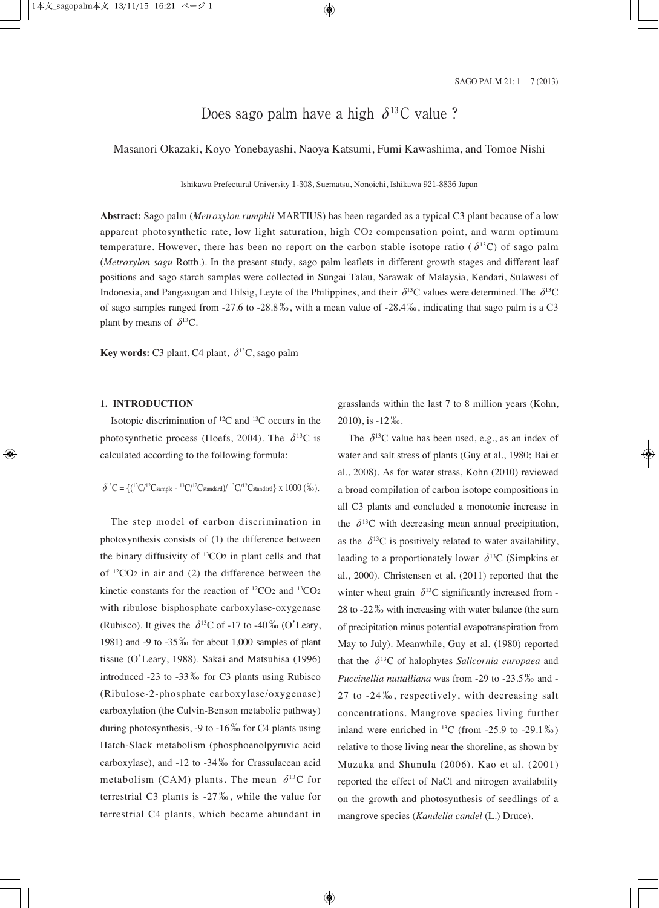# Does sago palm have a high  $\delta^{13}$ C value ?

Masanori Okazaki, Koyo Yonebayashi, Naoya Katsumi, Fumi Kawashima, and Tomoe Nishi

Ishikawa Prefectural University 1-308, Suematsu, Nonoichi, Ishikawa 921-8836 Japan

**Abstract:** Sago palm (*Metroxylon rumphii* MARTIUS) has been regarded as a typical C3 plant because of a low apparent photosynthetic rate, low light saturation, high CO2 compensation point, and warm optimum temperature. However, there has been no report on the carbon stable isotope ratio ( $\delta^{13}C$ ) of sago palm (*Metroxylon sagu* Rottb.). In the present study, sago palm leaflets in different growth stages and different leaf positions and sago starch samples were collected in Sungai Talau, Sarawak of Malaysia, Kendari, Sulawesi of Indonesia, and Pangasugan and Hilsig, Levte of the Philippines, and their  $\delta^{13}C$  values were determined. The  $\delta^{13}C$ of sago samples ranged from -27.6 to -28.8‰, with a mean value of -28.4‰, indicating that sago palm is a C3 plant by means of  $\delta^{13}$ C.

**Key words:** C3 plant, C4 plant,  $\delta^{13}$ C, sago palm

#### **1. INTRODUCTION**

Isotopic discrimination of 12C and 13C occurs in the photosynthetic process (Hoefs, 2004). The  $\delta^{13}$ C is calculated according to the following formula:

$$
\delta^{13}C = \{(1^3C)^{12}C \text{sample} - 1^3C/1^2C \text{standard}\} / 1^3C/1^2C \text{standard}\} \times 1000\ (26).
$$

The step model of carbon discrimination in photosynthesis consists of (1) the difference between the binary diffusivity of  $^{13}CO<sub>2</sub>$  in plant cells and that of  $12CO<sub>2</sub>$  in air and (2) the difference between the kinetic constants for the reaction of 12CO2 and 13CO2 with ribulose bisphosphate carboxylase-oxygenase (Rubisco). It gives the  $\delta^{13}$ C of -17 to -40 ‰ (O'Leary, 1981) and -9 to -35‰ for about 1,000 samples of plant tissue (O'Leary, 1988). Sakai and Matsuhisa (1996) introduced -23 to -33‰ for C3 plants using Rubisco (Ribulose-2-phosphate carboxylase/oxygenase) carboxylation (the Culvin-Benson metabolic pathway) during photosynthesis, -9 to -16‰ for C4 plants using Hatch-Slack metabolism (phosphoenolpyruvic acid carboxylase), and -12 to -34‰ for Crassulacean acid metabolism (CAM) plants. The mean  $\delta^{13}$ C for terrestrial C3 plants is -27‰, while the value for terrestrial C4 plants, which became abundant in

grasslands within the last 7 to 8 million years (Kohn, 2010), is -12‰.

The  $\delta^{13}$ C value has been used, e.g., as an index of water and salt stress of plants (Guy et al., 1980; Bai et al., 2008). As for water stress, Kohn (2010) reviewed a broad compilation of carbon isotope compositions in all C3 plants and concluded a monotonic increase in the  $\delta^{13}$ C with decreasing mean annual precipitation, as the  $\delta^{13}$ C is positively related to water availability, leading to a proportionately lower  $\delta^{13}$ C (Simpkins et al., 2000). Christensen et al. (2011) reported that the winter wheat grain  $\delta^{13}$ C significantly increased from -28 to -22‰ with increasing with water balance (the sum of precipitation minus potential evapotranspiration from May to July). Meanwhile, Guy et al. (1980) reported that the  $\delta^{13}$ C of halophytes *Salicornia europaea* and *Puccinellia nuttalliana* was from -29 to -23.5‰ and - 27 to -24 ‰, respectively, with decreasing salt concentrations. Mangrove species living further inland were enriched in  $^{13}$ C (from -25.9 to -29.1‰) relative to those living near the shoreline, as shown by Muzuka and Shunula (2006). Kao et al. (2001) reported the effect of NaCl and nitrogen availability on the growth and photosynthesis of seedlings of a mangrove species (*Kandelia candel* (L.) Druce).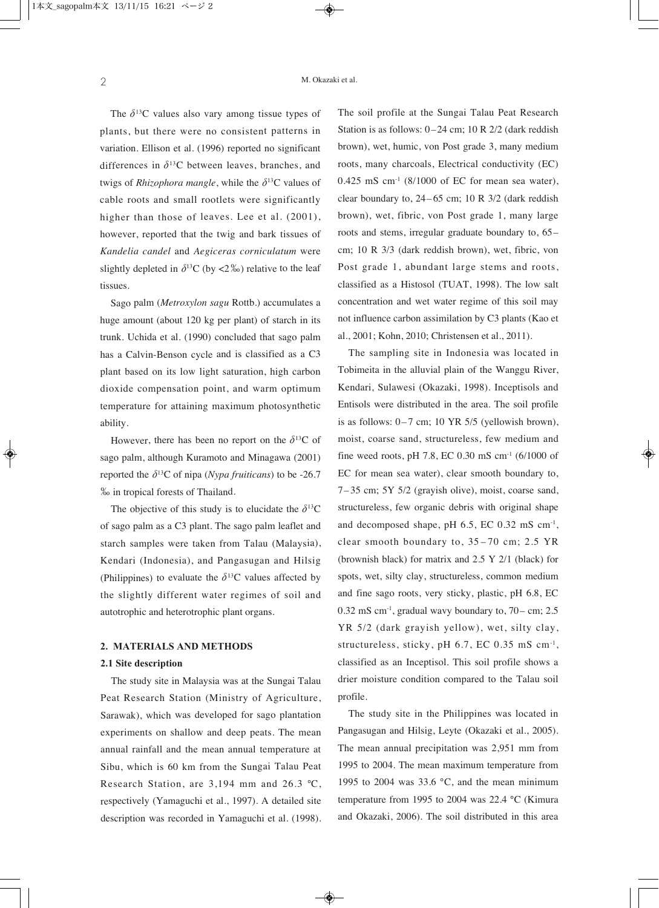The  $\delta^{13}$ C values also vary among tissue types of plants, but there were no consistent patterns in variation. Ellison et al. (1996) reported no significant differences in  $\delta^{13}$ C between leaves, branches, and twigs of *Rhizophora mangle*, while the  $\delta^{13}$ C values of cable roots and small rootlets were significantly higher than those of leaves. Lee et al. (2001), however, reported that the twig and bark tissues of *Kandelia candel* and *Aegiceras corniculatum* were slightly depleted in  $\delta^{13}$ C (by <2‰) relative to the leaf tissues.

Sago palm (*Metroxylon sagu* Rottb.) accumulates <sup>a</sup> huge amount (about 120 kg per plant) of starch in its trunk. Uchida et al. (1990) concluded that sago palm has <sup>a</sup> Calvin-Benson cycle and is classified as <sup>a</sup> C3 plant based on its low light saturation, high carbon dioxide compensation point, and warm optimum temperature for attaining maximum photosynthetic ability.

However, there has been no report on the  $\delta^{13}C$  of sago palm, although Kuramoto and Minagawa (2001) reported the  $\delta^{13}$ C of nipa (*Nypa fruiticans*) to be -26.7 ‰ in tropical forests of Thailand.

The objective of this study is to elucidate the  $\delta^{13}C$ of sago palm as <sup>a</sup> C3 plant. The sago palm leaflet and starch samples were taken from Talau (Malaysia), Kendari (Indonesia), and Pangasugan and Hilsig (Philippines) to evaluate the  $\delta^{13}$ C values affected by the slightly different water regimes of soil and autotrophic and heterotrophic plant organs.

#### **2. MATERIALS AND METHODS**

#### **2.1 Site description**

The study site in Malaysia was at the Sungai Talau Peat Research Station (Ministry of Agriculture, Sarawak), which was developed for sago plantation experiments on shallow and deep peats. The mean annual rainfall and the mean annual temperature at Sibu, which is 60 km from the Sungai Talau Peat Research Station, are 3,194 mm and 26.3 °C, respectively (Yamaguchi et al., 1997). A detailed site description was recorded in Yamaguchi et al. (1998). The soil profile at the Sungai Talau Peat Research Station is as follows: 0–24 cm; 10 R 2/2 (dark reddish brown), wet, humic, von Post grade 3, many medium roots, many charcoals, Electrical conductivity (EC)  $0.425$  mS cm<sup>-1</sup> (8/1000 of EC for mean sea water), clear boundary to,  $24-65$  cm; 10 R  $3/2$  (dark reddish brown), wet, fibric, von Post grade 1, many large roots and stems, irregular graduate boundary to, 65– cm; 10 R 3/3 (dark reddish brown), wet, fibric, von Post grade 1, abundant large stems and roots, classified as a Histosol (TUAT, 1998). The low salt concentration and wet water regime of this soil may not influence carbon assimilation by C3 plants (Kao et al., 2001; Kohn, 2010; Christensen et al., 2011).

The sampling site in Indonesia was located in Tobimeita in the alluvial plain of the Wanggu River, Kendari, Sulawesi (Okazaki, 1998). Inceptisols and Entisols were distributed in the area. The soil profile is as follows:  $0-7$  cm; 10 YR 5/5 (yellowish brown), moist, coarse sand, structureless, few medium and fine weed roots, pH 7.8, EC 0.30 mS cm<sup>-1</sup> (6/1000 of EC for mean sea water), clear smooth boundary to, 7– 35 cm; 5Y 5/2 (grayish olive), moist, coarse sand, structureless, few organic debris with original shape and decomposed shape, pH  $6.5$ , EC  $0.32 \text{ mS cm}^{-1}$ , clear smooth boundary to, 35 – 70 cm; 2.5 YR (brownish black) for matrix and 2.5 Y 2/1 (black) for spots, wet, silty clay, structureless, common medium and fine sago roots, very sticky, plastic, pH 6.8, EC  $0.32 \text{ mS cm}^{-1}$ , gradual wavy boundary to,  $70 - \text{cm}$ ; 2.5 YR 5/2 (dark grayish yellow), wet, silty clay, structureless, sticky, pH 6.7, EC 0.35 mS cm-1, classified as an Inceptisol. This soil profile shows a drier moisture condition compared to the Talau soil profile.

The study site in the Philippines was located in Pangasugan and Hilsig, Leyte (Okazaki et al., 2005). The mean annual precipitation was 2,951 mm from 1995 to 2004. The mean maximum temperature from 1995 to 2004 was  $33.6$  °C, and the mean minimum temperature from 1995 to 2004 was 22.4 °C (Kimura and Okazaki, 2006). The soil distributed in this area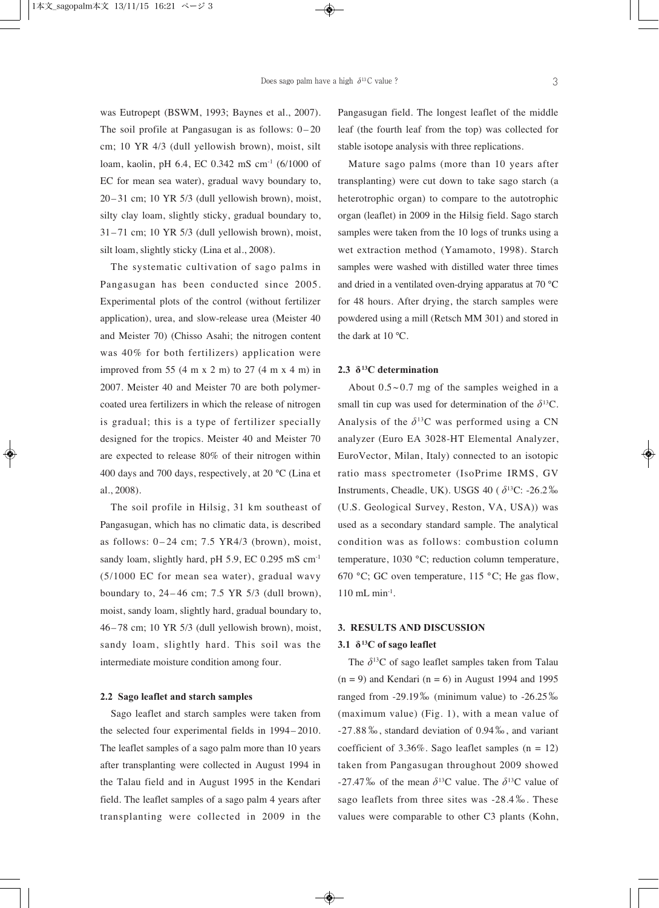was Eutropept (BSWM, 1993; Baynes et al., 2007). The soil profile at Pangasugan is as follows: 0– 20 cm; 10 YR 4/3 (dull yellowish brown), moist, silt loam, kaolin, pH 6.4, EC 0.342 mS cm-1 (6/1000 of EC for mean sea water), gradual wavy boundary to,  $20-31$  cm; 10 YR 5/3 (dull yellowish brown), moist, silty clay loam, slightly sticky, gradual boundary to, 31– 71 cm; 10 YR 5/3 (dull yellowish brown), moist, silt loam, slightly sticky (Lina et al., 2008).

The systematic cultivation of sago palms in Pangasugan has been conducted since 2005. Experimental plots of the control (without fertilizer application), urea, and slow-release urea (Meister 40 and Meister 70) (Chisso Asahi; the nitrogen content was 40% for both fertilizers) application were improved from 55  $(4 \text{ m x } 2 \text{ m})$  to 27  $(4 \text{ m x } 4 \text{ m})$  in 2007. Meister 40 and Meister 70 are both polymercoated urea fertilizers in which the release of nitrogen is gradual; this is a type of fertilizer specially designed for the tropics. Meister 40 and Meister 70 are expected to release 80% of their nitrogen within 400 days and 700 days, respectively, at 20 °C (Lina et al., 2008).

The soil profile in Hilsig, 31 km southeast of Pangasugan, which has no climatic data, is described as follows:  $0-24$  cm;  $7.5$  YR4/3 (brown), moist, sandy loam, slightly hard, pH 5.9, EC 0.295 mS cm<sup>-1</sup> (5/1000 EC for mean sea water), gradual wavy boundary to,  $24-46$  cm;  $7.5$  YR  $5/3$  (dull brown), moist, sandy loam, slightly hard, gradual boundary to, 46– 78 cm; 10 YR 5/3 (dull yellowish brown), moist, sandy loam, slightly hard. This soil was the intermediate moisture condition among four.

### **2.2 Sago leaflet and starch samples**

Sago leaflet and starch samples were taken from the selected four experimental fields in 1994– 2010. The leaflet samples of a sago palm more than 10 years after transplanting were collected in August 1994 in the Talau field and in August 1995 in the Kendari field. The leaflet samples of a sago palm 4 years after transplanting were collected in 2009 in the

Pangasugan field. The longest leaflet of the middle leaf (the fourth leaf from the top) was collected for stable isotope analysis with three replications.

Mature sago palms (more than 10 years after transplanting) were cut down to take sago starch (a heterotrophic organ) to compare to the autotrophic organ (leaflet) in 2009 in the Hilsig field. Sago starch samples were taken from the 10 logs of trunks using a wet extraction method (Yamamoto, 1998). Starch samples were washed with distilled water three times and dried in a ventilated oven-drying apparatus at 70 °C for 48 hours. After drying, the starch samples were powdered using a mill (Retsch MM 301) and stored in the dark at 10 °C.

### **2.3 δ13C determination**

About  $0.5 \sim 0.7$  mg of the samples weighed in a small tin cup was used for determination of the  $\delta^{13}C$ . Analysis of the  $\delta^{13}$ C was performed using a CN analyzer (Euro EA 3028-HT Elemental Analyzer, EuroVector, Milan, Italy) connected to an isotopic ratio mass spectrometer (IsoPrime IRMS, GV Instruments, Cheadle, UK). USGS 40 ( $\delta^{13}$ C: -26.2‰ (U.S. Geological Survey, Reston, VA, USA)) was used as a secondary standard sample. The analytical condition was as follows: combustion column temperature, 1030 °C; reduction column temperature, 670 °C; GC oven temperature, 115 °C; He gas flow,  $110$  mL min<sup>-1</sup>.

### **3. RESULTS AND DISCUSSION**

### **3.1 δ13C of sago leaflet**

The  $\delta^{13}$ C of sago leaflet samples taken from Talau  $(n = 9)$  and Kendari  $(n = 6)$  in August 1994 and 1995 ranged from -29.19‰ (minimum value) to -26.25‰ (maximum value) (Fig. 1), with a mean value of -27.88‰, standard deviation of 0.94‰, and variant coefficient of  $3.36\%$ . Sago leaflet samples (n = 12) taken from Pangasugan throughout 2009 showed -27.47‰ of the mean  $\delta^{13}$ C value. The  $\delta^{13}$ C value of sago leaflets from three sites was -28.4‰. These values were comparable to other C3 plants (Kohn,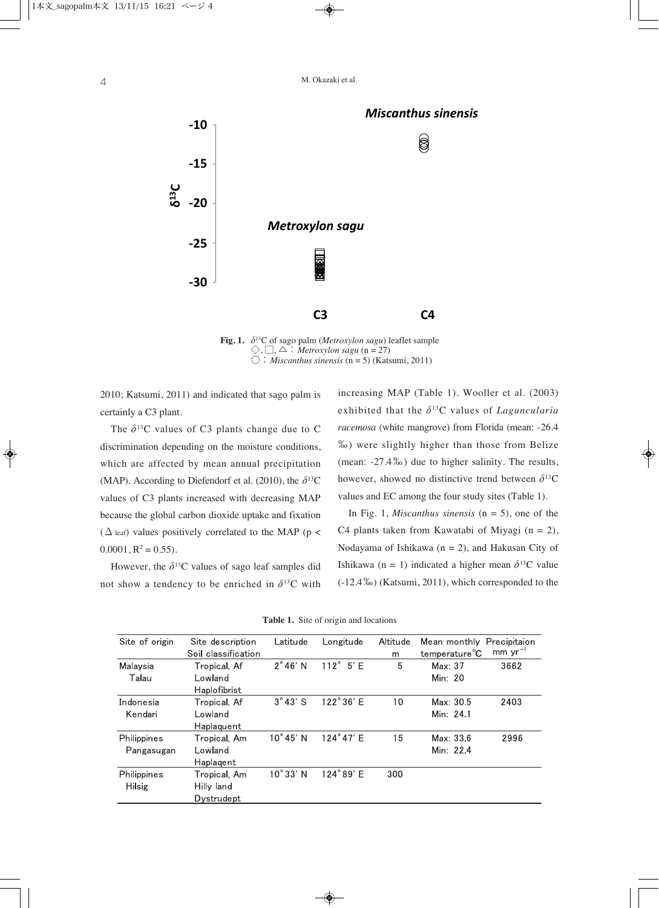

**Fig. 1.** δ13C of sago palm (*Metroxylon sagu*) leaflet sample  $\Diamond$ ,  $\Box$ ,  $\triangle$  : *Metroxylon sagu* (n = 27) ○:*Miscanthus sinensis* (n = 5) (Katsumi, 2011)

2010; Katsumi, 2011) and indicated that sago palm is certainly a C3 plant.

The  $\delta^{13}$ C values of C3 plants change due to C discrimination depending on the moisture conditions, which are affected by mean annual precipitation (MAP). According to Diefendorf et al. (2010), the  $\delta^{13}$ C values of C3 plants increased with decreasing MAP because the global carbon dioxide uptake and fixation ( $\Delta$  leaf) values positively correlated to the MAP (p <  $0.0001$ ,  $R^2 = 0.55$ ).

However, the  $\delta^{13}$ C values of sago leaf samples did not show a tendency to be enriched in  $\delta^{13}$ C with increasing MAP (Table 1). Wooller et al. (2003) exhibited that the  $\delta^{13}$ C values of *Laguncularia racemosa* (white mangrove) from Florida (mean: -26.4 ‰) were slightly higher than those from Belize (mean: -27.4‰) due to higher salinity. The results, however, showed no distinctive trend between  $\delta^{13}C$ values and EC among the four study sites (Table 1).

In Fig. 1, *Miscanthus sinensis* (n = 5), one of the C4 plants taken from Kawatabi of Miyagi  $(n = 2)$ , Nodayama of Ishikawa (n = 2), and Hakusan City of Ishikawa (n = 1) indicated a higher mean  $\delta^{13}$ C value (-12.4‰) (Katsumi, 2011), which corresponded to the

| Site of origin | Site description    | Latitude          | Longitude          | Altitude | Mean monthly               | Precipitaion |
|----------------|---------------------|-------------------|--------------------|----------|----------------------------|--------------|
|                | Soil classification |                   |                    | m        | temperature <sup>°</sup> C | mm $yr^{-1}$ |
| Malaysia       | Tropical, Af        | $2^{\circ}46'$ N  | $112^{\circ}$ 5' E | 5        | Max: 37                    | 3662         |
| Talau          | Lowland             |                   |                    |          | Min: 20                    |              |
|                | Haplofibrist        |                   |                    |          |                            |              |
| Indonesia      | Tropical, Af        | $3^\circ 43'$ S   | 122°36' E          | 10       | Max: 30.5                  | 2403         |
| Kendari        | Lowland             |                   |                    |          | Min: 24.1                  |              |
|                | Haplaquent          |                   |                    |          |                            |              |
| Philippines    | Tropical, Am        | 10°45' N          | 124°47' E          | 15       | Max: 33.6                  | 2996         |
| Pangasugan     | Lowland             |                   |                    |          | Min: 224                   |              |
|                | Haplagent           |                   |                    |          |                            |              |
| Philippines    | Tropical, Am        | $10^{\circ}33'$ N | 124°89' E          | 300      |                            |              |
| <b>Hilsig</b>  | Hilly land          |                   |                    |          |                            |              |
|                | Dystrudept          |                   |                    |          |                            |              |
|                |                     |                   |                    |          |                            |              |

**Table 1.** Site of origin and locations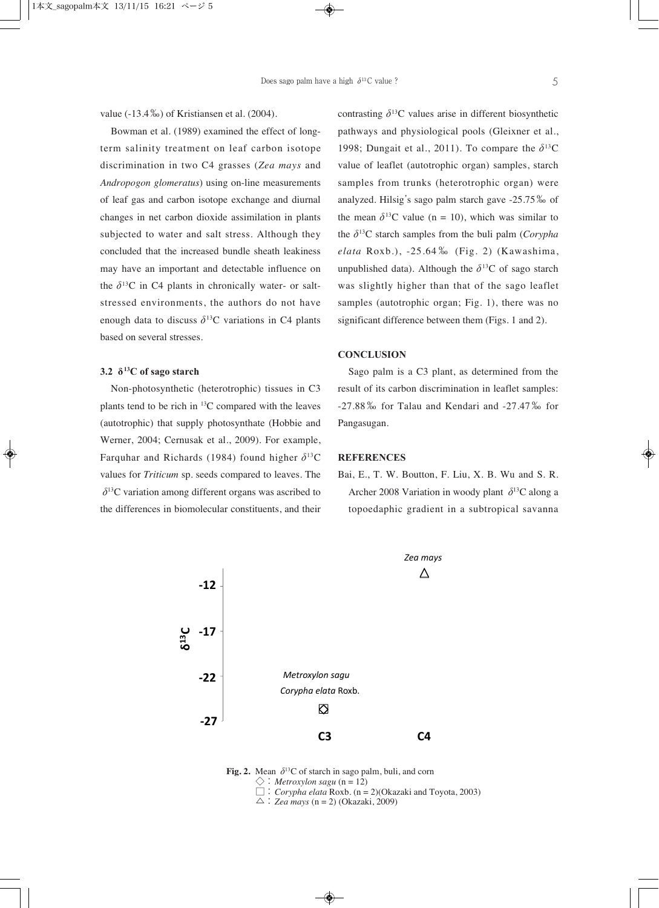value (-13.4‰) of Kristiansen et al. (2004).

Bowman et al. (1989) examined the effect of longterm salinity treatment on leaf carbon isotope discrimination in two C4 grasses (*Zea mays* and *Andropogon glomeratus*) using on-line measurements of leaf gas and carbon isotope exchange and diurnal changes in net carbon dioxide assimilation in plants subjected to water and salt stress. Although they concluded that the increased bundle sheath leakiness may have an important and detectable influence on the  $\delta^{13}$ C in C4 plants in chronically water- or saltstressed environments, the authors do not have enough data to discuss  $\delta^{13}$ C variations in C4 plants based on several stresses.

#### **3.2 δ13C of sago starch**

Non-photosynthetic (heterotrophic) tissues in C3 plants tend to be rich in 13C compared with the leaves (autotrophic) that supply photosynthate (Hobbie and Werner, 2004; Cernusak et al., 2009). For example, Farquhar and Richards (1984) found higher  $\delta^{13}C$ values for *Triticum* sp. seeds compared to leaves. The  $\delta^{13}$ C variation among different organs was ascribed to the differences in biomolecular constituents, and their contrasting  $\delta^{13}$ C values arise in different biosynthetic pathways and physiological pools (Gleixner et al., 1998; Dungait et al., 2011). To compare the  $\delta^{13}$ C value of leaflet (autotrophic organ) samples, starch samples from trunks (heterotrophic organ) were analyzed. Hilsig's sago palm starch gave -25.75‰ of the mean  $\delta^{13}$ C value (n = 10), which was similar to the  $\delta^{13}$ C starch samples from the buli palm (*Corypha elata* Roxb.), -25.64 ‰ (Fig. 2) (Kawashima, unpublished data). Although the  $\delta^{13}C$  of sago starch was slightly higher than that of the sago leaflet samples (autotrophic organ; Fig. 1), there was no significant difference between them (Figs. 1 and 2).

## **CONCLUSION**

Sago palm is a C3 plant, as determined from the result of its carbon discrimination in leaflet samples: -27.88‰ for Talau and Kendari and -27.47‰ for Pangasugan.

## **REFERENCES**

Bai, E., T. W. Boutton, F. Liu, X. B. Wu and S. R. Archer 2008 Variation in woody plant  $\delta^{13}$ C along a topoedaphic gradient in a subtropical savanna



**Fig. 2.** Mean  $\delta^{13}$ C of starch in sago palm, buli, and corn  $\diamondsuit$ : *Metroxylon sagu* (n = 12) □:*Corypha elata* Roxb. (n = 2)(Okazaki and Toyota, 2003)

 $\triangle$ : Zea mays (n = 2) (Okazaki, 2009)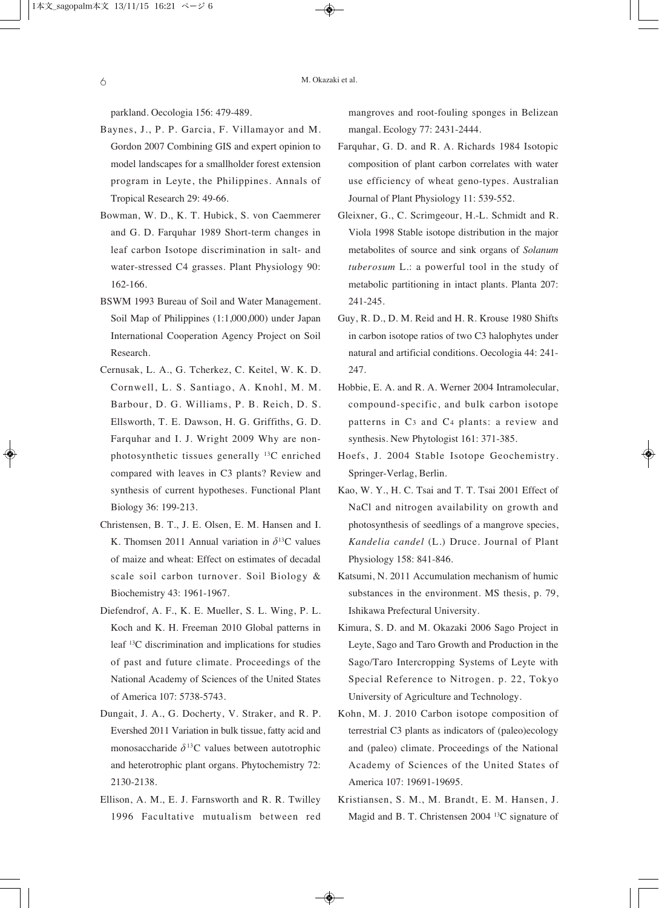parkland. Oecologia 156: 479-489.

- Baynes, J., P. P. Garcia, F. Villamayor and M. Gordon 2007 Combining GIS and expert opinion to model landscapes for a smallholder forest extension program in Leyte, the Philippines. Annals of Tropical Research 29: 49-66.
- Bowman, W. D., K. T. Hubick, S. von Caemmerer and G. D. Farquhar 1989 Short-term changes in leaf carbon Isotope discrimination in salt- and water-stressed C4 grasses. Plant Physiology 90: 162-166.
- BSWM 1993 Bureau of Soil and Water Management. Soil Map of Philippines (1:1,000,000) under Japan International Cooperation Agency Project on Soil Research.
- Cernusak, L. A., G. Tcherkez, C. Keitel, W. K. D. Cornwell, L. S. Santiago, A. Knohl, M. M. Barbour, D. G. Williams, P. B. Reich, D. S. Ellsworth, T. E. Dawson, H. G. Griffiths, G. D. Farquhar and I. J. Wright 2009 Why are nonphotosynthetic tissues generally 13C enriched compared with leaves in C3 plants? Review and synthesis of current hypotheses. Functional Plant Biology 36: 199-213.
- Christensen, B. T., J. E. Olsen, E. M. Hansen and I. K. Thomsen 2011 Annual variation in  $\delta^{13}$ C values of maize and wheat: Effect on estimates of decadal scale soil carbon turnover. Soil Biology & Biochemistry 43: 1961-1967.
- Diefendrof, A. F., K. E. Mueller, S. L. Wing, P. L. Koch and K. H. Freeman 2010 Global patterns in leaf 13C discrimination and implications for studies of past and future climate. Proceedings of the National Academy of Sciences of the United States of America 107: 5738-5743.
- Dungait, J. A., G. Docherty, V. Straker, and R. P. Evershed 2011 Variation in bulk tissue, fatty acid and monosaccharide  $\delta^{13}$ C values between autotrophic and heterotrophic plant organs. Phytochemistry 72: 2130-2138.
- Ellison, A. M., E. J. Farnsworth and R. R. Twilley 1996 Facultative mutualism between red

mangroves and root-fouling sponges in Belizean mangal. Ecology 77: 2431-2444.

- Farquhar, G. D. and R. A. Richards 1984 Isotopic composition of plant carbon correlates with water use efficiency of wheat geno-types. Australian Journal of Plant Physiology 11: 539-552.
- Gleixner, G., C. Scrimgeour, H.-L. Schmidt and R. Viola 1998 Stable isotope distribution in the major metabolites of source and sink organs of *Solanum tuberosum* L.: a powerful tool in the study of metabolic partitioning in intact plants. Planta 207: 241-245.
- Guy, R. D., D. M. Reid and H. R. Krouse 1980 Shifts in carbon isotope ratios of two C3 halophytes under natural and artificial conditions. Oecologia 44: 241- 247.
- Hobbie, E. A. and R. A. Werner 2004 Intramolecular, compound-specific, and bulk carbon isotope patterns in C3 and C4 plants: a review and synthesis. New Phytologist 161: 371-385.
- Hoefs, J. 2004 Stable Isotope Geochemistry. Springer-Verlag, Berlin.
- Kao, W. Y., H. C. Tsai and T. T. Tsai 2001 Effect of NaCl and nitrogen availability on growth and photosynthesis of seedlings of a mangrove species, *Kandelia candel* (L.) Druce. Journal of Plant Physiology 158: 841-846.
- Katsumi, N. 2011 Accumulation mechanism of humic substances in the environment. MS thesis, p. 79, Ishikawa Prefectural University.
- Kimura, S. D. and M. Okazaki 2006 Sago Project in Leyte, Sago and Taro Growth and Production in the Sago/Taro Intercropping Systems of Leyte with Special Reference to Nitrogen. p. 22, Tokyo University of Agriculture and Technology.
- Kohn, M. J. 2010 Carbon isotope composition of terrestrial C3 plants as indicators of (paleo)ecology and (paleo) climate. Proceedings of the National Academy of Sciences of the United States of America 107: 19691-19695.
- Kristiansen, S. M., M. Brandt, E. M. Hansen, J. Magid and B. T. Christensen 2004 13C signature of